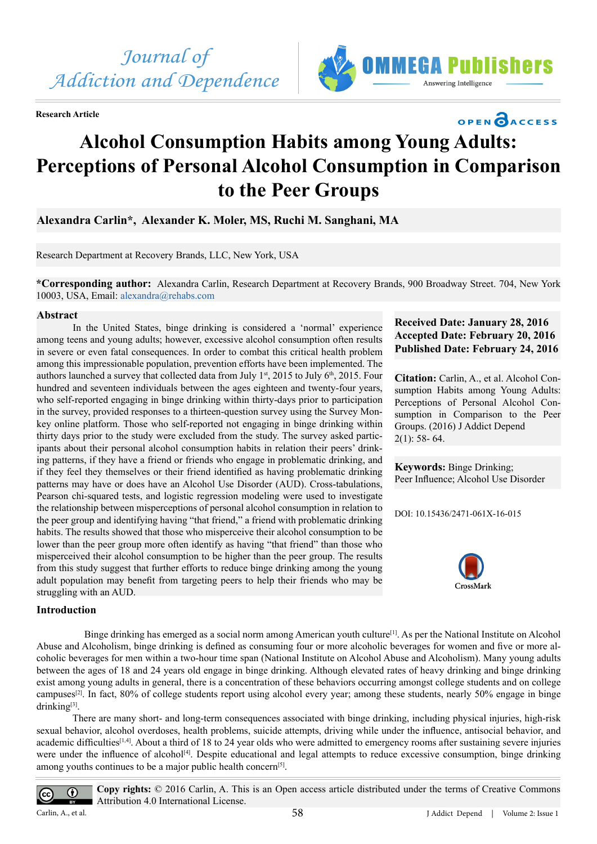

**Research Article**



# **OPEN CACCESS**

**Received Date: January 28, 2016 Accepted Date: February 20, 2016 Published Date: February 24, 2016**

**Citation:** Carlin, A., et al. Alcohol Consumption Habits among Young Adults: Perceptions of Personal Alcohol Consumption in Comparison to the Peer

**Keywords:** Binge Drinking; Peer Influence; Alcohol Use Disorder

DOI: [10.15436/2471-061X-16-0](http://www.dx.doi.org/10.15436/2477-061X.16.015)15

CrossMark

 $2(1)$ : 58- 64.

Groups. (2016) J Addict Depend

# **Alcohol Consumption Habits among Young Adults: Perceptions of Personal Alcohol Consumption in Comparison to the Peer Groups**

**Alexandra Carlin\*, Alexander K. Moler, MS, Ruchi M. Sanghani, MA**

Research Department at Recovery Brands, LLC, New York, USA

**\*Corresponding author:** Alexandra Carlin, Research Department at Recovery Brands, 900 Broadway Street. 704, New York 10003, USA, Email: [alexandra@rehabs.com](mailto:alexandra@rehabs.com)

# **Abstract**

In the United States, binge drinking is considered a 'normal' experience among teens and young adults; however, excessive alcohol consumption often results in severe or even fatal consequences. In order to combat this critical health problem among this impressionable population, prevention efforts have been implemented. The authors launched a survey that collected data from July  $1<sup>st</sup>$ , 2015 to July  $6<sup>th</sup>$ , 2015. Four hundred and seventeen individuals between the ages eighteen and twenty-four years, who self-reported engaging in binge drinking within thirty-days prior to participation in the survey, provided responses to a thirteen-question survey using the Survey Monkey online platform. Those who self-reported not engaging in binge drinking within thirty days prior to the study were excluded from the study. The survey asked participants about their personal alcohol consumption habits in relation their peers' drinking patterns, if they have a friend or friends who engage in problematic drinking, and if they feel they themselves or their friend identified as having problematic drinking patterns may have or does have an Alcohol Use Disorder (AUD). Cross-tabulations, Pearson chi-squared tests, and logistic regression modeling were used to investigate the relationship between misperceptions of personal alcohol consumption in relation to the peer group and identifying having "that friend," a friend with problematic drinking habits. The results showed that those who misperceive their alcohol consumption to be lower than the peer group more often identify as having "that friend" than those who misperceived their alcohol consumption to be higher than the peer group. The results from this study suggest that further efforts to reduce binge drinking among the young adult population may benefit from targeting peers to help their friends who may be struggling with an AUD.

# **Introduction**

Binge drinking has emerged as a social norm among American youth culture<sup>[1]</sup>. As per the National Institute on Alcohol Abuse and Alcoholism, binge drinking is defined as consuming four or more alcoholic beverages for women and five or more alcoholic beverages for men within a two-hour time span (National Institute on Alcohol Abuse and Alcoholism). Many young adults between the ages of 18 and 24 years old engage in binge drinking. Although elevated rates of heavy drinking and binge drinking exist among young adults in general, there is a concentration of these behaviors occurring amongst college students and on college campuse[s\[2\]](#page-6-1). In fact, 80% of college students report using alcohol every year; among these students, nearly 50% engage in binge drinking<sup>[3]</sup>.

There are many short- and long-term consequences associated with binge drinking, including physical injuries, high-risk sexual behavior, alcohol overdoses, health problems, suicide attempts, driving while under the influence, antisocial behavior, and academic difficulties<sup>[\[1,4\]](#page-6-0)</sup>. About a third of 18 to 24 year olds who were admitted to emergency rooms after sustaining severe injuries were under the influence of alcohol<sup>[4]</sup>. Despite educational and legal attempts to reduce excessive consumption, binge drinking among youths continues to be a major public health concer[n\[5\].](#page-6-4)



**Copy rights:** © 2016 Carlin, A. This is an Open access article distributed under the terms of Creative Commons Attribution 4.0 International License.

Carlin, A., et al.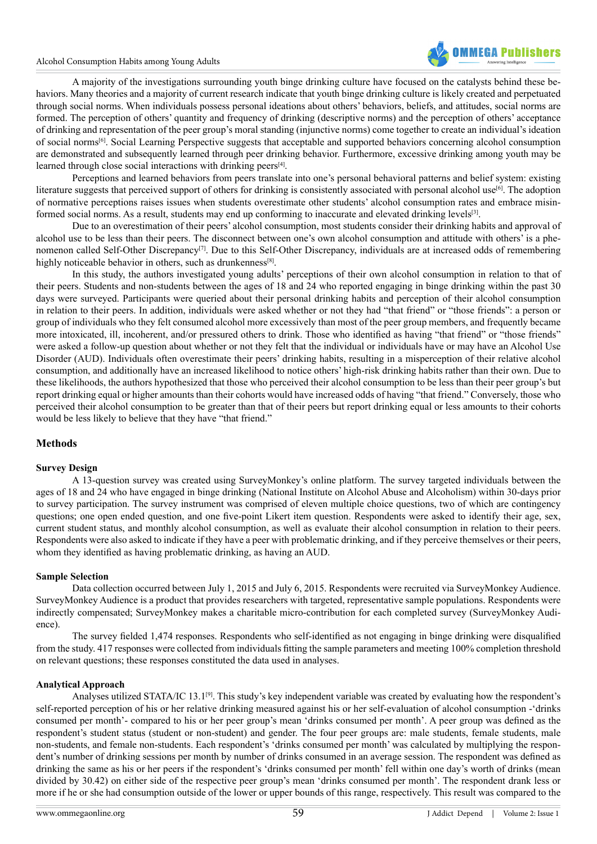

A majority of the investigations surrounding youth binge drinking culture have focused on the catalysts behind these behaviors. Many theories and a majority of current research indicate that youth binge drinking culture is likely created and perpetuated through social norms. When individuals possess personal ideations about others' behaviors, beliefs, and attitudes, social norms are formed. The perception of others' quantity and frequency of drinking (descriptive norms) and the perception of others' acceptance of drinking and representation of the peer group's moral standing (injunctive norms) come together to create an individual's ideation of social norm[s\[6\]](#page-6-5). Social Learning Perspective suggests that acceptable and supported behaviors concerning alcohol consumption are demonstrated and subsequently learned through peer drinking behavior. Furthermore, excessive drinking among youth may be learned through close social interactions with drinking peers $[4]$ .

Perceptions and learned behaviors from peers translate into one's personal behavioral patterns and belief system: existing literature suggests that perceived support of others for drinking is consistently associated with personal alcohol use<sup>[6]</sup>. The adoption of normative perceptions raises issues when students overestimate other students' alcohol consumption rates and embrace misinformed social norms. As a result, students may end up conforming to inaccurate and elevated drinking levels[3].

Due to an overestimation of their peers' alcohol consumption, most students consider their drinking habits and approval of alcohol use to be less than their peers. The disconnect between one's own alcohol consumption and attitude with others' is a phenomenon called Self-Other Discrepancy<sup>[7]</sup>. Due to this Self-Other Discrepancy, individuals are at increased odds of remembering highly noticeable behavior in others, such as drunkenness<sup>[8]</sup>.

In this study, the authors investigated young adults' perceptions of their own alcohol consumption in relation to that of their peers. Students and non-students between the ages of 18 and 24 who reported engaging in binge drinking within the past 30 days were surveyed. Participants were queried about their personal drinking habits and perception of their alcohol consumption in relation to their peers. In addition, individuals were asked whether or not they had "that friend" or "those friends": a person or group of individuals who they felt consumed alcohol more excessively than most of the peer group members, and frequently became more intoxicated, ill, incoherent, and/or pressured others to drink. Those who identified as having "that friend" or "those friends" were asked a follow-up question about whether or not they felt that the individual or individuals have or may have an Alcohol Use Disorder (AUD). Individuals often overestimate their peers' drinking habits, resulting in a misperception of their relative alcohol consumption, and additionally have an increased likelihood to notice others' high-risk drinking habits rather than their own. Due to these likelihoods, the authors hypothesized that those who perceived their alcohol consumption to be less than their peer group's but report drinking equal or higher amounts than their cohorts would have increased odds of having "that friend." Conversely, those who perceived their alcohol consumption to be greater than that of their peers but report drinking equal or less amounts to their cohorts would be less likely to believe that they have "that friend."

# **Methods**

# **Survey Design**

A 13-question survey was created using SurveyMonkey's online platform. The survey targeted individuals between the ages of 18 and 24 who have engaged in binge drinking (National Institute on Alcohol Abuse and Alcoholism) within 30-days prior to survey participation. The survey instrument was comprised of eleven multiple choice questions, two of which are contingency questions; one open ended question, and one five-point Likert item question. Respondents were asked to identify their age, sex, current student status, and monthly alcohol consumption, as well as evaluate their alcohol consumption in relation to their peers. Respondents were also asked to indicate if they have a peer with problematic drinking, and if they perceive themselves or their peers, whom they identified as having problematic drinking, as having an AUD.

#### **Sample Selection**

Data collection occurred between July 1, 2015 and July 6, 2015. Respondents were recruited via SurveyMonkey Audience. SurveyMonkey Audience is a product that provides researchers with targeted, representative sample populations. Respondents were indirectly compensated; SurveyMonkey makes a charitable micro-contribution for each completed survey (SurveyMonkey Audience).

The survey fielded 1,474 responses. Respondents who self-identified as not engaging in binge drinking were disqualified from the study. 417 responses were collected from individuals fitting the sample parameters and meeting 100% completion threshold on relevant questions; these responses constituted the data used in analyses.

#### **Analytical Approach**

Analyses utilized STATA/IC 13.1<sup>[9]</sup>. This study's key independent variable was created by evaluating how the respondent's self-reported perception of his or her relative drinking measured against his or her self-evaluation of alcohol consumption -'drinks consumed per month'- compared to his or her peer group's mean 'drinks consumed per month'. A peer group was defined as the respondent's student status (student or non-student) and gender. The four peer groups are: male students, female students, male non-students, and female non-students. Each respondent's 'drinks consumed per month' was calculated by multiplying the respondent's number of drinking sessions per month by number of drinks consumed in an average session. The respondent was defined as drinking the same as his or her peers if the respondent's 'drinks consumed per month' fell within one day's worth of drinks (mean divided by 30.42) on either side of the respective peer group's mean 'drinks consumed per month'. The respondent drank less or more if he or she had consumption outside of the lower or upper bounds of this range, respectively. This result was compared to the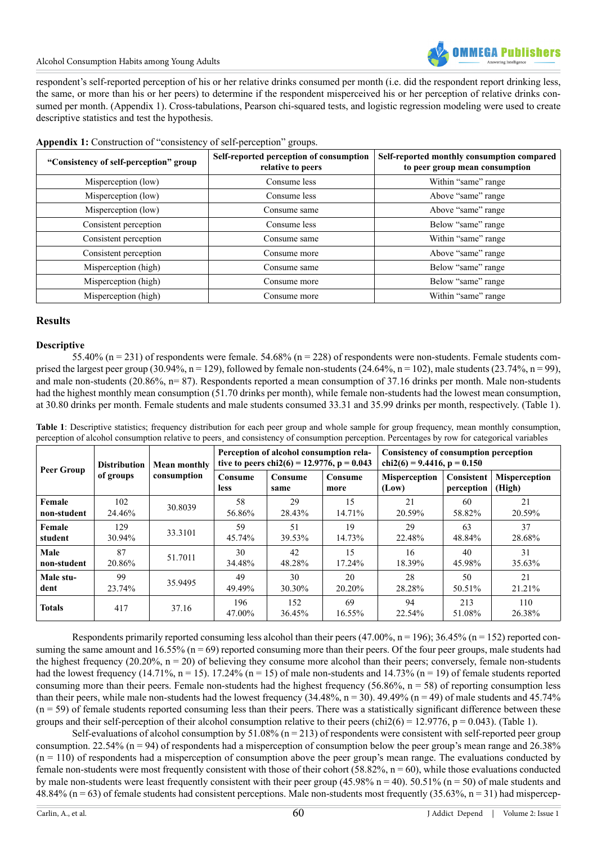

Alcohol Consumption Habits among Young Adults

respondent's self-reported perception of his or her relative drinks consumed per month (i.e. did the respondent report drinking less, the same, or more than his or her peers) to determine if the respondent misperceived his or her perception of relative drinks consumed per month. (Appendix 1). Cross-tabulations, Pearson chi-squared tests, and logistic regression modeling were used to create descriptive statistics and test the hypothesis.

| "Consistency of self-perception" group | Self-reported perception of consumption<br>relative to peers | Self-reported monthly consumption compared<br>to peer group mean consumption |  |
|----------------------------------------|--------------------------------------------------------------|------------------------------------------------------------------------------|--|
| Misperception (low)                    | Consume less                                                 | Within "same" range                                                          |  |
| Misperception (low)                    | Consume less                                                 | Above "same" range                                                           |  |
| Misperception (low)                    | Consume same                                                 | Above "same" range                                                           |  |
| Consistent perception                  | Consume less                                                 | Below "same" range                                                           |  |
| Consistent perception                  | Consume same                                                 | Within "same" range                                                          |  |
| Consistent perception                  | Consume more                                                 | Above "same" range                                                           |  |
| Misperception (high)                   | Consume same                                                 | Below "same" range                                                           |  |
| Misperception (high)                   | Consume more                                                 | Below "same" range                                                           |  |
| Misperception (high)                   | Consume more                                                 | Within "same" range                                                          |  |

**Appendix 1:** Construction of "consistency of self-perception" groups.

# **Results**

#### **Descriptive**

55.40% (n = 231) of respondents were female. 54.68% (n = 228) of respondents were non-students. Female students comprised the largest peer group (30.94%,  $n = 129$ ), followed by female non-students (24.64%,  $n = 102$ ), male students (23.74%,  $n = 99$ ). and male non-students (20.86%, n= 87). Respondents reported a mean consumption of 37.16 drinks per month. Male non-students had the highest monthly mean consumption (51.70 drinks per month), while female non-students had the lowest mean consumption, at 30.80 drinks per month. Female students and male students consumed 33.31 and 35.99 drinks per month, respectively. (Table 1).

| Peer Group    | <b>Distribution</b><br>of groups | <b>Mean monthly</b><br>consumption | Perception of alcohol consumption rela-<br>tive to peers chi2(6) = 12.9776, p = 0.043 |                 | <b>Consistency of consumption perception</b><br>chi2(6) = 9.4416, $p = 0.150$ |                               |                          |                                |
|---------------|----------------------------------|------------------------------------|---------------------------------------------------------------------------------------|-----------------|-------------------------------------------------------------------------------|-------------------------------|--------------------------|--------------------------------|
|               |                                  |                                    | Consume<br><b>less</b>                                                                | Consume<br>same | Consume<br>more                                                               | <b>Misperception</b><br>(Low) | Consistent<br>perception | <b>Misperception</b><br>(High) |
| Female        | 102                              | 30.8039                            | 58                                                                                    | 29              | 15                                                                            | 21                            | 60                       | 21                             |
| non-student   | 24.46%                           |                                    | 56.86%                                                                                | 28.43%          | 14.71%                                                                        | 20.59%                        | 58.82%                   | 20.59%                         |
| Female        | 129                              | 33.3101                            | 59                                                                                    | 51              | 19                                                                            | 29                            | 63                       | 37                             |
| student       | 30.94%                           |                                    | 45.74%                                                                                | 39.53%          | 14.73%                                                                        | 22.48%                        | 48.84%                   | 28.68%                         |
| Male          | 87                               | 51.7011                            | 30                                                                                    | 42              | 15                                                                            | 16                            | 40                       | 31                             |
| non-student   | 20.86%                           |                                    | 34.48%                                                                                | 48.28%          | 17.24%                                                                        | 18.39%                        | 45.98%                   | 35.63%                         |
| Male stu-     | 99                               | 35.9495                            | 49                                                                                    | 30              | 20                                                                            | 28                            | 50                       | 21                             |
| dent          | 23.74%                           |                                    | 49.49%                                                                                | 30.30%          | 20.20%                                                                        | 28.28%                        | 50.51%                   | 21.21%                         |
| <b>Totals</b> | 417                              | 37.16                              | 196<br>47.00%                                                                         | 152<br>36.45%   | 69<br>16.55%                                                                  | 94<br>22.54%                  | 213<br>51.08%            | 110<br>26.38%                  |

**Table 1**: Descriptive statistics; frequency distribution for each peer group and whole sample for group frequency, mean monthly consumption, perception of alcohol consumption relative to peers¸ and consistency of consumption perception. Percentages by row for categorical variables

Respondents primarily reported consuming less alcohol than their peers (47.00%, n = 196); 36.45% (n = 152) reported consuming the same amount and  $16.55\%$  ( $n = 69$ ) reported consuming more than their peers. Of the four peer groups, male students had the highest frequency (20.20%,  $n = 20$ ) of believing they consume more alcohol than their peers; conversely, female non-students had the lowest frequency (14.71%,  $n = 15$ ). 17.24% ( $n = 15$ ) of male non-students and 14.73% ( $n = 19$ ) of female students reported consuming more than their peers. Female non-students had the highest frequency (56.86%,  $n = 58$ ) of reporting consumption less than their peers, while male non-students had the lowest frequency  $(34.48\%, n = 30)$ . 49.49%  $(n = 49)$  of male students and 45.74%  $(n = 59)$  of female students reported consuming less than their peers. There was a statistically significant difference between these groups and their self-perception of their alcohol consumption relative to their peers (chi2(6) = 12.9776, p = 0.043). (Table 1).

Self-evaluations of alcohol consumption by  $51.08\%$  (n = 213) of respondents were consistent with self-reported peer group consumption. 22.54% ( $n = 94$ ) of respondents had a misperception of consumption below the peer group's mean range and 26.38%  $(n = 110)$  of respondents had a misperception of consumption above the peer group's mean range. The evaluations conducted by female non-students were most frequently consistent with those of their cohort (58.82%,  $n = 60$ ), while those evaluations conducted by male non-students were least frequently consistent with their peer group  $(45.98\% \text{ n} = 40)$ . 50.51% ( $\text{n} = 50$ ) of male students and 48.84% ( $n = 63$ ) of female students had consistent perceptions. Male non-students most frequently (35.63%,  $n = 31$ ) had mispercep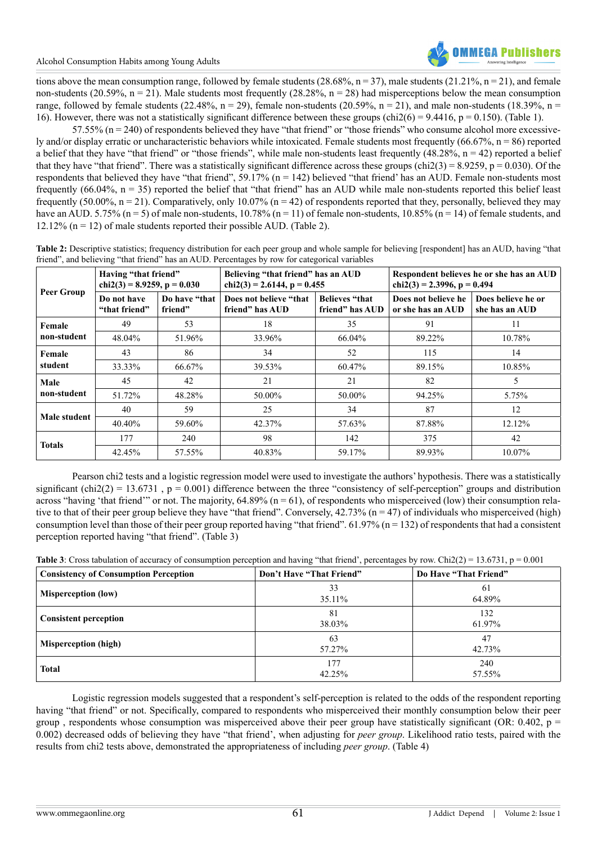tions above the mean consumption range, followed by female students (28.68%,  $n = 37$ ), male students (21.21%,  $n = 21$ ), and female non-students (20.59%,  $n = 21$ ). Male students most frequently (28.28%,  $n = 28$ ) had misperceptions below the mean consumption range, followed by female students (22.48%,  $n = 29$ ), female non-students (20.59%,  $n = 21$ ), and male non-students (18.39%,  $n =$ 16). However, there was not a statistically significant difference between these groups (chi2(6) = 9.4416, p = 0.150). (Table 1).

57.55%  $(n = 240)$  of respondents believed they have "that friend" or "those friends" who consume alcohol more excessively and/or display erratic or uncharacteristic behaviors while intoxicated. Female students most frequently (66.67%,  $n = 86$ ) reported a belief that they have "that friend" or "those friends", while male non-students least frequently  $(48.28\%, n = 42)$  reported a belief that they have "that friend". There was a statistically significant difference across these groups (chi2(3) = 8.9259, p = 0.030). Of the respondents that believed they have "that friend", 59.17% (n = 142) believed "that friend' has an AUD. Female non-students most frequently  $(66.04\%, n = 35)$  reported the belief that "that friend" has an AUD while male non-students reported this belief least frequently (50.00%,  $n = 21$ ). Comparatively, only 10.07% ( $n = 42$ ) of respondents reported that they, personally, believed they may have an AUD. 5.75% (n = 5) of male non-students,  $10.78\%$  (n = 11) of female non-students,  $10.85\%$  (n = 14) of female students, and 12.12% ( $n = 12$ ) of male students reported their possible AUD. (Table 2).

| Peer Group          | Having "that friend"<br>chi2(3) = 8.9259, p = $0.030$ |                          | Believing "that friend" has an AUD<br>chi2(3) = 2.6144, $p = 0.455$ |                                          | Respondent believes he or she has an AUD<br>chi2(3) = 2.3996, p = 0.494 |                                      |  |
|---------------------|-------------------------------------------------------|--------------------------|---------------------------------------------------------------------|------------------------------------------|-------------------------------------------------------------------------|--------------------------------------|--|
|                     | Do not have<br>"that friend"                          | Do have "that<br>friend" | Does not believe "that<br>friend" has AUD                           | <b>Believes "that</b><br>friend" has AUD | Does not believe he<br>or she has an AUD                                | Does believe he or<br>she has an AUD |  |
| Female              | 49                                                    | 53                       | 18                                                                  | 35                                       | 91                                                                      | 11                                   |  |
| non-student         | 48.04%                                                | 51.96%                   | 33.96%                                                              | 66.04%                                   | 89.22%                                                                  | 10.78%                               |  |
| Female<br>student   | 43                                                    | 86                       | 34                                                                  | 52                                       | 115                                                                     | 14                                   |  |
|                     | 33.33%                                                | 66.67%                   | 39.53%                                                              | 60.47%                                   | 89.15%                                                                  | 10.85%                               |  |
| Male<br>non-student | 45                                                    | 42                       | 21                                                                  | 21                                       | 82                                                                      | 5                                    |  |
|                     | 51.72%                                                | 48.28%                   | 50.00%                                                              | 50.00%                                   | 94.25%                                                                  | 5.75%                                |  |
| Male student        | 40                                                    | 59                       | 25                                                                  | 34                                       | 87                                                                      | 12                                   |  |
|                     | 40.40%                                                | 59.60%                   | 42.37%                                                              | 57.63%                                   | 87.88%                                                                  | 12.12%                               |  |
| <b>Totals</b>       | 177                                                   | 240                      | 98                                                                  | 142                                      | 375                                                                     | 42                                   |  |
|                     | 42.45%                                                | 57.55%                   | 40.83%                                                              | 59.17%                                   | 89.93%                                                                  | 10.07%                               |  |

**Table 2:** Descriptive statistics; frequency distribution for each peer group and whole sample for believing [respondent] has an AUD, having "that friend", and believing "that friend" has an AUD. Percentages by row for categorical variables

Pearson chi2 tests and a logistic regression model were used to investigate the authors' hypothesis. There was a statistically significant (chi2(2) = 13.6731, p = 0.001) difference between the three "consistency of self-perception" groups and distribution across "having 'that friend'" or not. The majority,  $64.89\%$  ( $n = 61$ ), of respondents who misperceived (low) their consumption relative to that of their peer group believe they have "that friend". Conversely,  $42.73\%$  (n = 47) of individuals who misperceived (high) consumption level than those of their peer group reported having "that friend".  $61.97\%$  (n = 132) of respondents that had a consistent perception reported having "that friend". (Table 3)

**Table 3**: Cross tabulation of accuracy of consumption perception and having "that friend', percentages by row. Chi2(2) = 13.6731, p = 0.001

| <b>Consistency of Consumption Perception</b> | Don't Have "That Friend" | Do Have "That Friend" |
|----------------------------------------------|--------------------------|-----------------------|
| <b>Misperception (low)</b>                   | 33<br>35.11%             | 61<br>64.89%          |
| <b>Consistent perception</b>                 | 81<br>38.03%             | 132<br>61.97%         |
| <b>Misperception (high)</b>                  | 63<br>57.27%             | 47<br>42.73%          |
| <b>Total</b>                                 | 177<br>42.25%            | 240<br>57.55%         |

Logistic regression models suggested that a respondent's self-perception is related to the odds of the respondent reporting having "that friend" or not. Specifically, compared to respondents who misperceived their monthly consumption below their peer group, respondents whose consumption was misperceived above their peer group have statistically significant (OR:  $0.402$ , p = 0.002) decreased odds of believing they have "that friend', when adjusting for *peer group*. Likelihood ratio tests, paired with the results from chi2 tests above, demonstrated the appropriateness of including *peer group*. (Table 4)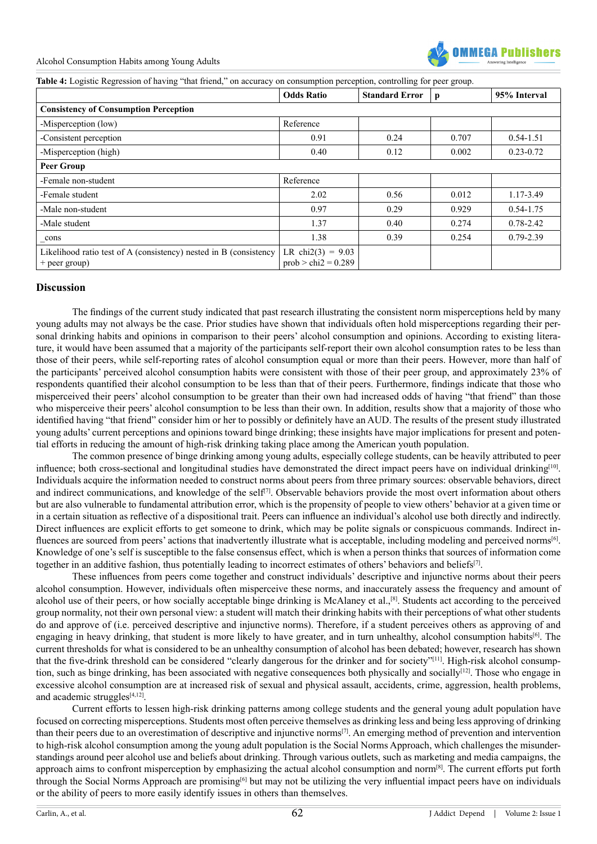

**Table 4:** Logistic Regression of having "that friend," on accuracy on consumption perception, controlling for peer group.

|                                                                                      | <b>Odds Ratio</b>                            | <b>Standard Error</b> | p     | 95% Interval  |  |  |  |  |
|--------------------------------------------------------------------------------------|----------------------------------------------|-----------------------|-------|---------------|--|--|--|--|
| <b>Consistency of Consumption Perception</b>                                         |                                              |                       |       |               |  |  |  |  |
| -Misperception (low)                                                                 | Reference                                    |                       |       |               |  |  |  |  |
| -Consistent perception                                                               | 0.91                                         | 0.24                  | 0.707 | $0.54 - 1.51$ |  |  |  |  |
| -Misperception (high)                                                                | 0.40                                         | 0.12                  | 0.002 | $0.23 - 0.72$ |  |  |  |  |
| <b>Peer Group</b>                                                                    |                                              |                       |       |               |  |  |  |  |
| -Female non-student                                                                  | Reference                                    |                       |       |               |  |  |  |  |
| -Female student                                                                      | 2.02                                         | 0.56                  | 0.012 | 1.17-3.49     |  |  |  |  |
| -Male non-student                                                                    | 0.97                                         | 0.29                  | 0.929 | $0.54 - 1.75$ |  |  |  |  |
| -Male student                                                                        | 1.37                                         | 0.40                  | 0.274 | $0.78 - 2.42$ |  |  |  |  |
| _cons                                                                                | 1.38                                         | 0.39                  | 0.254 | $0.79 - 2.39$ |  |  |  |  |
| Likelihood ratio test of A (consistency) nested in B (consistency<br>$+$ peer group) | LR chi2(3) = $9.03$<br>$prob > chi2 = 0.289$ |                       |       |               |  |  |  |  |

# **Discussion**

The findings of the current study indicated that past research illustrating the consistent norm misperceptions held by many young adults may not always be the case. Prior studies have shown that individuals often hold misperceptions regarding their personal drinking habits and opinions in comparison to their peers' alcohol consumption and opinions. According to existing literature, it would have been assumed that a majority of the participants self-report their own alcohol consumption rates to be less than those of their peers, while self-reporting rates of alcohol consumption equal or more than their peers. However, more than half of the participants' perceived alcohol consumption habits were consistent with those of their peer group, and approximately 23% of respondents quantified their alcohol consumption to be less than that of their peers. Furthermore, findings indicate that those who misperceived their peers' alcohol consumption to be greater than their own had increased odds of having "that friend" than those who misperceive their peers' alcohol consumption to be less than their own. In addition, results show that a majority of those who identified having "that friend" consider him or her to possibly or definitely have an AUD. The results of the present study illustrated young adults' current perceptions and opinions toward binge drinking; these insights have major implications for present and potential efforts in reducing the amount of high-risk drinking taking place among the American youth population.

The common presence of binge drinking among young adults, especially college students, can be heavily attributed to peer influence; both cross-sectional and longitudinal studies have demonstrated the direct impact peers have on individual drinking<sup>[10]</sup>. Individuals acquire the information needed to construct norms about peers from three primary sources: observable behaviors, direct and indirect communications, and knowledge of the self<sup>[7]</sup>. Observable behaviors provide the most overt information about others but are also vulnerable to fundamental attribution error, which is the propensity of people to view others' behavior at a given time or in a certain situation as reflective of a dispositional trait. Peers can influence an individual's alcohol use both directly and indirectly. Direct influences are explicit efforts to get someone to drink, which may be polite signals or conspicuous commands. Indirect influences are sourced from peers' actions that inadvertently illustrate what is acceptable, including modeling and perceived norms<sup>[6]</sup>. Knowledge of one's self is susceptible to the false consensus effect, which is when a person thinks that sources of information come together in an additive fashion, thus potentially leading to incorrect estimates of others' behaviors and beliefs[7].

These influences from peers come together and construct individuals' descriptive and injunctive norms about their peers alcohol consumption. However, individuals often misperceive these norms, and inaccurately assess the frequency and amount of alcohol use of their peers, or how socially acceptable binge drinking is McAlaney et al.,[8]. Students act according to the perceived group normality, not their own personal view: a student will match their drinking habits with their perceptions of what other students do and approve of (i.e. perceived descriptive and injunctive norms). Therefore, if a student perceives others as approving of and engaging in heavy drinking, that student is more likely to have greater, and in turn unhealthy, alcohol consumption habits<sup>[6]</sup>. The current thresholds for what is considered to be an unhealthy consumption of alcohol has been debated; however, research has shown that the five-drink threshold can be considered "clearly dangerous for the drinker and for society"[\[11\].](#page-6-10) High-risk alcohol consumption, such as binge drinking, has been associated with negative consequences both physically and socially<sup>[12]</sup>. Those who engage in excessive alcohol consumption are at increased risk of sexual and physical assault, accidents, crime, aggression, health problems, and academic struggles $[4,12]$ .

Current efforts to lessen high-risk drinking patterns among college students and the general young adult population have focused on correcting misperceptions. Students most often perceive themselves as drinking less and being less approving of drinking than their peers due to an overestimation of descriptive and injunctive norms[7]. An emerging method of prevention and intervention to high-risk alcohol consumption among the young adult population is the Social Norms Approach, which challenges the misunderstandings around peer alcohol use and beliefs about drinking. Through various outlets, such as marketing and media campaigns, the approach aims to confront misperception by emphasizing the actual alcohol consumption and norm<sup>[8]</sup>. The current efforts put forth through the Social Norms Approach are promising<sup>[6]</sup> but may not be utilizing the very influential impact peers have on individuals or the ability of peers to more easily identify issues in others than themselves.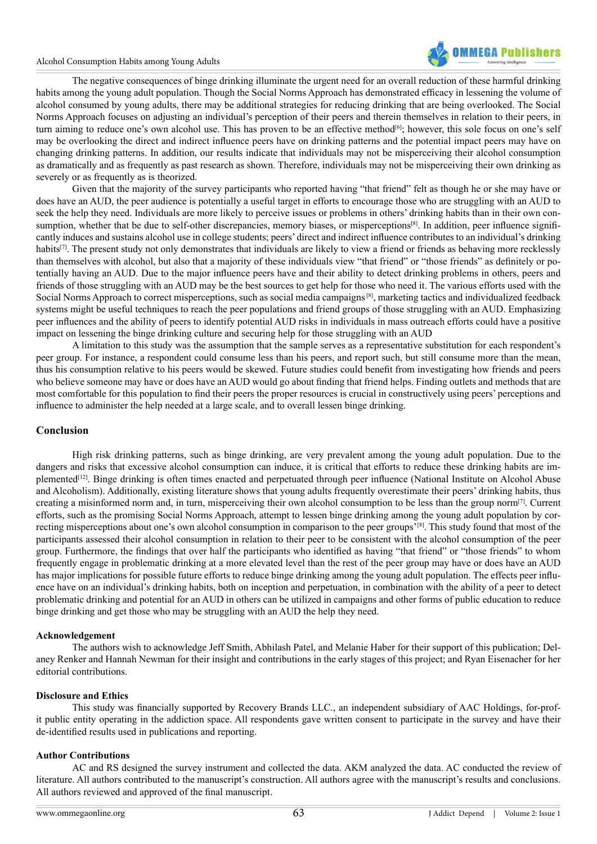#### Alcohol Consumption Habits among Young Adults



The negative consequences of binge drinking illuminate the urgent need for an overall reduction of these harmful drinking habits among the young adult population. Though the Social Norms Approach has demonstrated efficacy in lessening the volume of alcohol consumed by young adults, there may be additional strategies for reducing drinking that are being overlooked. The Social Norms Approach focuses on adjusting an individual's perception of their peers and therein themselves in relation to their peers, in turn aiming to reduce one's own alcohol use. This has proven to be an effective method<sup>[6]</sup>; however, this sole focus on one's self may be overlooking the direct and indirect influence peers have on drinking patterns and the potential impact peers may have on changing drinking patterns. In addition, our results indicate that individuals may not be misperceiving their alcohol consumption as dramatically and as frequently as past research as shown. Therefore, individuals may not be misperceiving their own drinking as severely or as frequently as is theorized.

Given that the majority of the survey participants who reported having "that friend" felt as though he or she may have or does have an AUD, the peer audience is potentially a useful target in efforts to encourage those who are struggling with an AUD to seek the help they need. Individuals are more likely to perceive issues or problems in others' drinking habits than in their own consumption, whether that be due to self-other discrepancies, memory biases, or misperceptions<sup>[8]</sup>. In addition, peer influence significantly induces and sustains alcohol use in college students; peers' direct and indirect influence contributes to an individual's drinking habits<sup>[7]</sup>. The present study not only demonstrates that individuals are likely to view a friend or friends as behaving more recklessly than themselves with alcohol, but also that a majority of these individuals view "that friend" or "those friends" as definitely or potentially having an AUD. Due to the major influence peers have and their ability to detect drinking problems in others, peers and friends of those struggling with an AUD may be the best sources to get help for those who need it. The various efforts used with the Social Norms Approach to correct misperceptions, such as social media campaigns [8], marketing tactics and individualized feedback systems might be useful techniques to reach the peer populations and friend groups of those struggling with an AUD. Emphasizing peer influences and the ability of peers to identify potential AUD risks in individuals in mass outreach efforts could have a positive impact on lessening the binge drinking culture and securing help for those struggling with an AUD

A limitation to this study was the assumption that the sample serves as a representative substitution for each respondent's peer group. For instance, a respondent could consume less than his peers, and report such, but still consume more than the mean, thus his consumption relative to his peers would be skewed. Future studies could benefit from investigating how friends and peers who believe someone may have or does have an AUD would go about finding that friend helps. Finding outlets and methods that are most comfortable for this population to find their peers the proper resources is crucial in constructively using peers' perceptions and influence to administer the help needed at a large scale, and to overall lessen binge drinking.

# **Conclusion**

High risk drinking patterns, such as binge drinking, are very prevalent among the young adult population. Due to the dangers and risks that excessive alcohol consumption can induce, it is critical that efforts to reduce these drinking habits are implemented<sup>[12]</sup>. Binge drinking is often times enacted and perpetuated through peer influence (National Institute on Alcohol Abuse and Alcoholism). Additionally, existing literature shows that young adults frequently overestimate their peers' drinking habits, thus creating a misinformed norm and, in turn, misperceiving their own alcohol consumption to be less than the group norm $^{[7]}$ . Current efforts, such as the promising Social Norms Approach, attempt to lessen binge drinking among the young adult population by correcting misperceptions about one's own alcohol consumption in comparison to the peer groups'<sup>[8]</sup>. This study found that most of the participants assessed their alcohol consumption in relation to their peer to be consistent with the alcohol consumption of the peer group. Furthermore, the findings that over half the participants who identified as having "that friend" or "those friends" to whom frequently engage in problematic drinking at a more elevated level than the rest of the peer group may have or does have an AUD has major implications for possible future efforts to reduce binge drinking among the young adult population. The effects peer influence have on an individual's drinking habits, both on inception and perpetuation, in combination with the ability of a peer to detect problematic drinking and potential for an AUD in others can be utilized in campaigns and other forms of public education to reduce binge drinking and get those who may be struggling with an AUD the help they need.

# **Acknowledgement**

The authors wish to acknowledge Jeff Smith, Abhilash Patel, and Melanie Haber for their support of this publication; Delaney Renker and Hannah Newman for their insight and contributions in the early stages of this project; and Ryan Eisenacher for her editorial contributions.

# **Disclosure and Ethics**

This study was financially supported by Recovery Brands LLC., an independent subsidiary of AAC Holdings, for-profit public entity operating in the addiction space. All respondents gave written consent to participate in the survey and have their de-identified results used in publications and reporting.

# **Author Contributions**

AC and RS designed the survey instrument and collected the data. AKM analyzed the data. AC conducted the review of literature. All authors contributed to the manuscript's construction. All authors agree with the manuscript's results and conclusions. All authors reviewed and approved of the final manuscript.